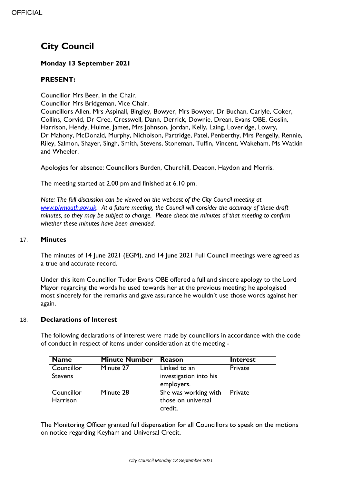# **City Council**

# **Monday 13 September 2021**

# **PRESENT:**

Councillor Mrs Beer, in the Chair.

Councillor Mrs Bridgeman, Vice Chair.

Councillors Allen, Mrs Aspinall, Bingley, Bowyer, Mrs Bowyer, Dr Buchan, Carlyle, Coker, Collins, Corvid, Dr Cree, Cresswell, Dann, Derrick, Downie, Drean, Evans OBE, Goslin, Harrison, Hendy, Hulme, James, Mrs Johnson, Jordan, Kelly, Laing, Loveridge, Lowry, Dr Mahony, McDonald, Murphy, Nicholson, Partridge, Patel, Penberthy, Mrs Pengelly, Rennie, Riley, Salmon, Shayer, Singh, Smith, Stevens, Stoneman, Tuffin, Vincent, Wakeham, Ms Watkin and Wheeler.

Apologies for absence: Councillors Burden, Churchill, Deacon, Haydon and Morris.

The meeting started at 2.00 pm and finished at 6.10 pm.

*Note: The full discussion can be viewed on the webcast of the City Council meeting at [www.plymouth.gov.uk.](http://www.plymouth.gov.uk/) At a future meeting, the Council will consider the accuracy of these draft minutes, so they may be subject to change. Please check the minutes of that meeting to confirm whether these minutes have been amended.*

## 17. **Minutes**

The minutes of 14 June 2021 (EGM), and 14 June 2021 Full Council meetings were agreed as a true and accurate record.

Under this item Councillor Tudor Evans OBE offered a full and sincere apology to the Lord Mayor regarding the words he used towards her at the previous meeting; he apologised most sincerely for the remarks and gave assurance he wouldn't use those words against her again.

#### 18. **Declarations of Interest**

The following declarations of interest were made by councillors in accordance with the code of conduct in respect of items under consideration at the meeting -

| <b>Name</b>    | <b>Minute Number</b> | <b>Reason</b>          | <b>Interest</b> |
|----------------|----------------------|------------------------|-----------------|
| Councillor     | Minute 27            | Linked to an           | Private         |
| <b>Stevens</b> |                      | investigation into his |                 |
|                |                      | employers.             |                 |
| Councillor     | Minute 28            | She was working with   | Private         |
| Harrison       |                      | those on universal     |                 |
|                |                      | credit.                |                 |

The Monitoring Officer granted full dispensation for all Councillors to speak on the motions on notice regarding Keyham and Universal Credit.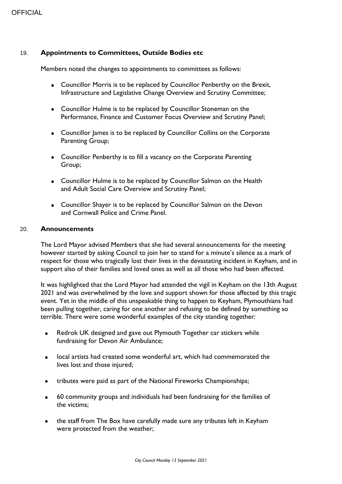## 19. **Appointments to Committees, Outside Bodies etc**

Members noted the changes to appointments to committees as follows:

- Councillor Morris is to be replaced by Councillor Penberthy on the Brexit, Infrastructure and Legislative Change Overview and Scrutiny Committee;
- Councillor Hulme is to be replaced by Councillor Stoneman on the Performance, Finance and Customer Focus Overview and Scrutiny Panel;
- Councillor James is to be replaced by Councillor Collins on the Corporate Parenting Group;
- Councillor Penberthy is to fill a vacancy on the Corporate Parenting Group;
- Councillor Hulme is to be replaced by Councillor Salmon on the Health and Adult Social Care Overview and Scrutiny Panel;
- Councillor Shayer is to be replaced by Councillor Salmon on the Devon and Cornwall Police and Crime Panel.

#### 20. **Announcements**

The Lord Mayor advised Members that she had several announcements for the meeting however started by asking Council to join her to stand for a minute's silence as a mark of respect for those who tragically lost their lives in the devastating incident in Keyham, and in support also of their families and loved ones as well as all those who had been affected.

It was highlighted that the Lord Mayor had attended the vigil in Keyham on the 13th August 2021 and was overwhelmed by the love and support shown for those affected by this tragic event. Yet in the middle of this unspeakable thing to happen to Keyham, Plymouthians had been pulling together, caring for one another and refusing to be defined by something so terrible. There were some wonderful examples of the city standing together:

- Redrok UK designed and gave out Plymouth Together car stickers while fundraising for Devon Air Ambulance;
- local artists had created some wonderful art, which had commemorated the lives lost and those injured;
- tributes were paid as part of the National Fireworks Championships;
- 60 community groups and individuals had been fundraising for the families of the victims;
- the staff from The Box have carefully made sure any tributes left in Keyham were protected from the weather;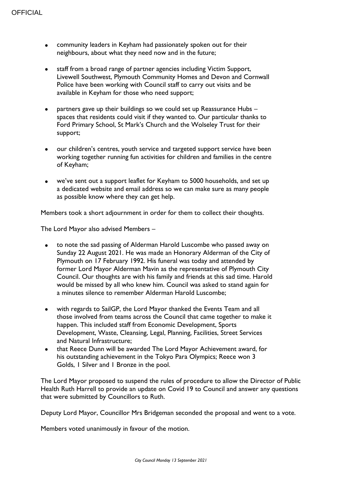- community leaders in Keyham had passionately spoken out for their neighbours, about what they need now and in the future;
- staff from a broad range of partner agencies including Victim Support, Livewell Southwest, Plymouth Community Homes and Devon and Cornwall Police have been working with Council staff to carry out visits and be available in Keyham for those who need support;
- partners gave up their buildings so we could set up Reassurance Hubs spaces that residents could visit if they wanted to. Our particular thanks to Ford Primary School, St Mark's Church and the Wolseley Trust for their support;
- our children's centres, youth service and targeted support service have been working together running fun activities for children and families in the centre of Keyham;
- we've sent out a support leaflet for Keyham to 5000 households, and set up a dedicated website and email address so we can make sure as many people as possible know where they can get help.

Members took a short adjournment in order for them to collect their thoughts.

The Lord Mayor also advised Members –

- to note the sad passing of Alderman Harold Luscombe who passed away on Sunday 22 August 2021. He was made an Honorary Alderman of the City of Plymouth on 17 February 1992. His funeral was today and attended by former Lord Mayor Alderman Mavin as the representative of Plymouth City Council. Our thoughts are with his family and friends at this sad time. Harold would be missed by all who knew him. Council was asked to stand again for a minutes silence to remember Alderman Harold Luscombe;
- with regards to SailGP, the Lord Mayor thanked the Events Team and all those involved from teams across the Council that came together to make it happen. This included staff from Economic Development, Sports Development, Waste, Cleansing, Legal, Planning, Facilities, Street Services and Natural Infrastructure;
- that Reece Dunn will be awarded The Lord Mayor Achievement award, for his outstanding achievement in the Tokyo Para Olympics; Reece won 3 Golds, 1 Silver and 1 Bronze in the pool.

The Lord Mayor proposed to suspend the rules of procedure to allow the Director of Public Health Ruth Harrell to provide an update on Covid 19 to Council and answer any questions that were submitted by Councillors to Ruth.

Deputy Lord Mayor, Councillor Mrs Bridgeman seconded the proposal and went to a vote.

Members voted unanimously in favour of the motion.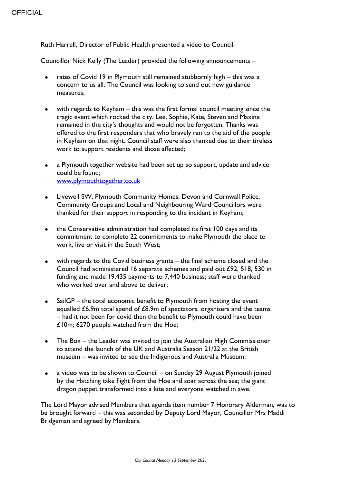Ruth Harrell, Director of Public Health presented a video to Council.

Councillor Nick Kelly (The Leader) provided the following announcements –

- rates of Covid 19 in Plymouth still remained stubbornly high this was a concern to us all. The Council was looking to send out new guidance measures;
- with regards to Keyham this was the first formal council meeting since the tragic event which rocked the city. Lee, Sophie, Kate, Steven and Maxine remained in the city's thoughts and would not be forgotten. Thanks was offered to the first responders that who bravely ran to the aid of the people in Keyham on that night. Council staff were also thanked due to their tireless work to support residents and those affected;
- a Plymouth together website had been set up so support, update and advice could be found; [www.plymouthtogether.co.uk](http://www.plymouthtogether.co.uk/)
- Livewell SW, Plymouth Community Homes, Devon and Cornwall Police, Community Groups and Local and Neighbouring Ward Councillors were thanked for their support in responding to the incident in Keyham;
- the Conservative administration had completed its first 100 days and its commitment to complete 22 commitments to make Plymouth the place to work, live or visit in the South West;
- with regards to the Covid business grants the final scheme closed and the Council had administered 16 separate schemes and paid out £92, 518, 530 in funding and made 19,435 payments to 7,440 business; staff were thanked who worked over and above to deliver:
- SailGP the total economic benefit to Plymouth from hosting the event equalled £6.9m total spend of £8.9m of spectators, organisers and the teams – had it not been for covid then the benefit to Plymouth could have been £10m; 6270 people watched from the Hoe;
- The Box the Leader was invited to join the Australian High Commissioner to attend the launch of the UK and Australia Season 21/22 at the British museum – was invited to see the Indigenous and Australia Museum;
- a video was to be shown to Council on Sunday 29 August Plymouth joined by the Hatching take flight from the Hoe and soar across the sea; the giant dragon puppet transformed into a kite and everyone watched in awe.

The Lord Mayor advised Members that agenda item number 7 Honorary Alderman, was to be brought forward – this was seconded by Deputy Lord Mayor, Councillor Mrs Maddi Bridgeman and agreed by Members.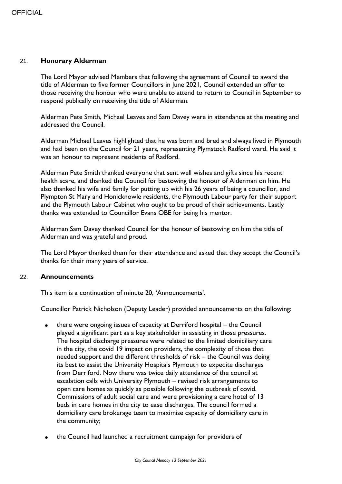#### 21. **Honorary Alderman**

The Lord Mayor advised Members that following the agreement of Council to award the title of Alderman to five former Councillors in June 2021, Council extended an offer to those receiving the honour who were unable to attend to return to Council in September to respond publically on receiving the title of Alderman.

Alderman Pete Smith, Michael Leaves and Sam Davey were in attendance at the meeting and addressed the Council.

Alderman Michael Leaves highlighted that he was born and bred and always lived in Plymouth and had been on the Council for 21 years, representing Plymstock Radford ward. He said it was an honour to represent residents of Radford.

Alderman Pete Smith thanked everyone that sent well wishes and gifts since his recent health scare, and thanked the Council for bestowing the honour of Alderman on him. He also thanked his wife and family for putting up with his 26 years of being a councillor, and Plympton St Mary and Honicknowle residents, the Plymouth Labour party for their support and the Plymouth Labour Cabinet who ought to be proud of their achievements. Lastly thanks was extended to Councillor Evans OBE for being his mentor.

Alderman Sam Davey thanked Council for the honour of bestowing on him the title of Alderman and was grateful and proud.

The Lord Mayor thanked them for their attendance and asked that they accept the Council's thanks for their many years of service.

#### 22. **Announcements**

This item is a continuation of minute 20, 'Announcements'.

Councillor Patrick Nicholson (Deputy Leader) provided announcements on the following:

- there were ongoing issues of capacity at Derriford hospital the Council played a significant part as a key stakeholder in assisting in those pressures. The hospital discharge pressures were related to the limited domiciliary care in the city, the covid 19 impact on providers, the complexity of those that needed support and the different thresholds of risk – the Council was doing its best to assist the University Hospitals Plymouth to expedite discharges from Derriford. Now there was twice daily attendance of the council at escalation calls with University Plymouth – revised risk arrangements to open care homes as quickly as possible following the outbreak of covid. Commissions of adult social care and were provisioning a care hotel of 13 beds in care homes in the city to ease discharges. The council formed a domiciliary care brokerage team to maximise capacity of domiciliary care in the community;
- the Council had launched a recruitment campaign for providers of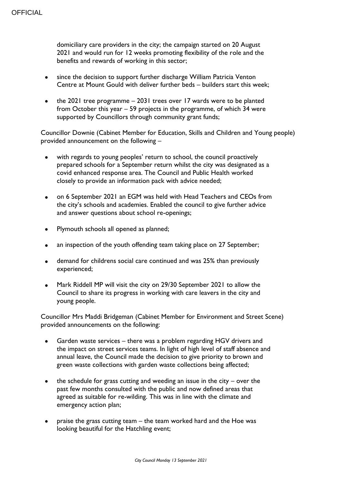domiciliary care providers in the city; the campaign started on 20 August 2021 and would run for 12 weeks promoting flexibility of the role and the benefits and rewards of working in this sector;

- since the decision to support further discharge William Patricia Venton Centre at Mount Gould with deliver further beds – builders start this week;
- the 2021 tree programme 2031 trees over 17 wards were to be planted from October this year – 59 projects in the programme, of which 34 were supported by Councillors through community grant funds;

Councillor Downie (Cabinet Member for Education, Skills and Children and Young people) provided announcement on the following –

- with regards to young peoples' return to school, the council proactively prepared schools for a September return whilst the city was designated as a covid enhanced response area. The Council and Public Health worked closely to provide an information pack with advice needed;
- on 6 September 2021 an EGM was held with Head Teachers and CEOs from the city's schools and academies. Enabled the council to give further advice and answer questions about school re-openings;
- Plymouth schools all opened as planned;
- an inspection of the youth offending team taking place on 27 September;
- demand for childrens social care continued and was 25% than previously experienced;
- Mark Riddell MP will visit the city on 29/30 September 2021 to allow the Council to share its progress in working with care leavers in the city and young people.

Councillor Mrs Maddi Bridgeman (Cabinet Member for Environment and Street Scene) provided announcements on the following:

- Garden waste services there was a problem regarding HGV drivers and the impact on street services teams. In light of high level of staff absence and annual leave, the Council made the decision to give priority to brown and green waste collections with garden waste collections being affected;
- the schedule for grass cutting and weeding an issue in the city over the past few months consulted with the public and now defined areas that agreed as suitable for re-wilding. This was in line with the climate and emergency action plan;
- praise the grass cutting team the team worked hard and the Hoe was looking beautiful for the Hatchling event;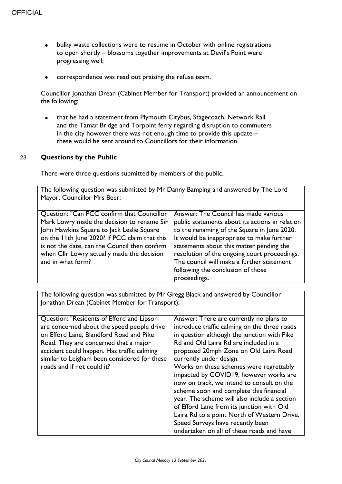- bulky waste collections were to resume in October with online registrations to open shortly – blossoms together improvements at Devil's Point were progressing well;
- correspondence was read out praising the refuse team.

Councillor Jonathan Drean (Cabinet Member for Transport) provided an announcement on the following:

 that he had a statement from Plymouth Citybus, Stagecoach, Network Rail and the Tamar Bridge and Torpoint ferry regarding disruption to commuters in the city however there was not enough time to provide this update – these would be sent around to Councillors for their information.

#### 23. **Questions by the Public**

There were three questions submitted by members of the public.

The following question was submitted by Mr Danny Bamping and answered by The Lord Mayor, Councillor Mrs Beer:

| Question: "Can PCC confirm that Councillor    | Answer: The Council has made various            |
|-----------------------------------------------|-------------------------------------------------|
| Mark Lowry made the decision to rename Sir    | public statements about its actions in relation |
| John Hawkins Square to Jack Leslie Square     | to the renaming of the Square in June 2020.     |
| on the 11th June 2020? If PCC claim that this | It would be inappropriate to make further       |
| is not the date, can the Council then confirm | statements about this matter pending the        |
| when Cllr Lowry actually made the decision    | resolution of the ongoing court proceedings.    |
| and in what form?                             | The council will make a further statement       |
|                                               | following the conclusion of those               |
|                                               | proceedings.                                    |
|                                               |                                                 |

The following question was submitted by Mr Gregg Black and answered by Councillor Jonathan Drean (Cabinet Member for Transport):

| Question: "Residents of Efford and Lipson    | Answer: There are currently no plans to      |
|----------------------------------------------|----------------------------------------------|
| are concerned about the speed people drive   | introduce traffic calming on the three roads |
| on Efford Lane, Blandford Road and Pike      | in question although the junction with Pike  |
| Road. They are concerned that a major        | Rd and Old Laira Rd are included in a        |
| accident could happen. Has traffic calming   | proposed 20mph Zone on Old Laira Road        |
| similar to Leigham been considered for these | currently under design.                      |
| roads and if not could it?                   | Works on these schemes were regrettably      |
|                                              | impacted by COVID19, however works are       |
|                                              | now on track, we intend to consult on the    |
|                                              | scheme soon and complete this financial      |
|                                              | year. The scheme will also include a section |
|                                              | of Efford Lane from its junction with Old    |
|                                              | Laira Rd to a point North of Western Drive.  |
|                                              | Speed Surveys have recently been             |
|                                              | undertaken on all of these roads and have    |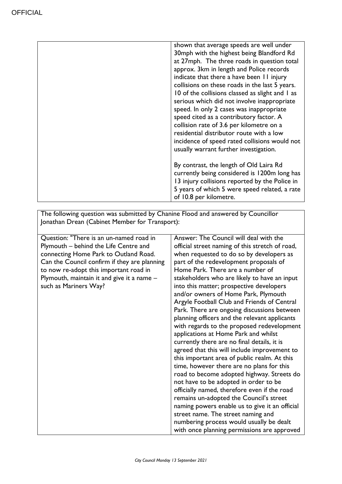| shown that average speeds are well under<br>30mph with the highest being Blandford Rd<br>at 27mph. The three roads in question total<br>approx. 3km in length and Police records<br>indicate that there a have been 11 injury<br>collisions on these roads in the last 5 years.<br>10 of the collisions classed as slight and 1 as<br>serious which did not involve inappropriate<br>speed. In only 2 cases was inappropriate<br>speed cited as a contributory factor. A<br>collision rate of 3.6 per kilometre on a<br>residential distributor route with a low<br>incidence of speed rated collisions would not<br>usually warrant further investigation. |
|-------------------------------------------------------------------------------------------------------------------------------------------------------------------------------------------------------------------------------------------------------------------------------------------------------------------------------------------------------------------------------------------------------------------------------------------------------------------------------------------------------------------------------------------------------------------------------------------------------------------------------------------------------------|
| By contrast, the length of Old Laira Rd<br>currently being considered is 1200m long has<br>13 injury collisions reported by the Police in<br>5 years of which 5 were speed related, a rate<br>of 10.8 per kilometre.                                                                                                                                                                                                                                                                                                                                                                                                                                        |

The following question was submitted by Chanine Flood and answered by Councillor Jonathan Drean (Cabinet Member for Transport):

| Question: "There is an un-named road in      | Answer: The Council will deal with the          |
|----------------------------------------------|-------------------------------------------------|
| Plymouth - behind the Life Centre and        | official street naming of this stretch of road, |
| connecting Home Park to Outland Road.        | when requested to do so by developers as        |
| Can the Council confirm if they are planning | part of the redevelopment proposals of          |
| to now re-adopt this important road in       | Home Park. There are a number of                |
| Plymouth, maintain it and give it a name $-$ | stakeholders who are likely to have an input    |
| such as Mariners Way?                        | into this matter; prospective developers        |
|                                              | and/or owners of Home Park, Plymouth            |
|                                              | Argyle Football Club and Friends of Central     |
|                                              | Park. There are ongoing discussions between     |
|                                              | planning officers and the relevant applicants   |
|                                              | with regards to the proposed redevelopment      |
|                                              | applications at Home Park and whilst            |
|                                              | currently there are no final details, it is     |
|                                              | agreed that this will include improvement to    |
|                                              | this important area of public realm. At this    |
|                                              | time, however there are no plans for this       |
|                                              | road to become adopted highway. Streets do      |
|                                              | not have to be adopted in order to be           |
|                                              | officially named, therefore even if the road    |
|                                              | remains un-adopted the Council's street         |
|                                              | naming powers enable us to give it an official  |
|                                              | street name. The street naming and              |
|                                              | numbering process would usually be dealt        |
|                                              | with once planning permissions are approved     |
|                                              |                                                 |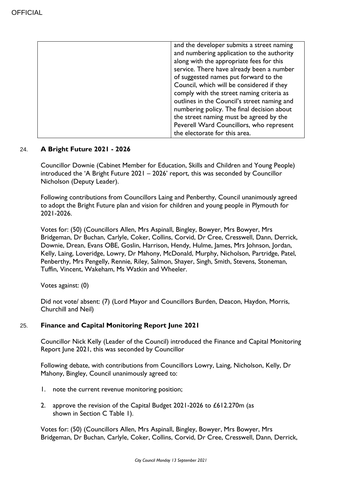| and the developer submits a street naming   |
|---------------------------------------------|
| and numbering application to the authority  |
| along with the appropriate fees for this    |
| service. There have already been a number   |
| of suggested names put forward to the       |
| Council, which will be considered if they   |
| comply with the street naming criteria as   |
| outlines in the Council's street naming and |
| numbering policy. The final decision about  |
| the street naming must be agreed by the     |
| Peverell Ward Councillors, who represent    |
| the electorate for this area.               |

# 24. **A Bright Future 2021 - 2026**

Councillor Downie (Cabinet Member for Education, Skills and Children and Young People) introduced the 'A Bright Future 2021 – 2026' report, this was seconded by Councillor Nicholson (Deputy Leader).

Following contributions from Councillors Laing and Penberthy, Council unanimously agreed to adopt the Bright Future plan and vision for children and young people in Plymouth for 2021-2026.

Votes for: (50) (Councillors Allen, Mrs Aspinall, Bingley, Bowyer, Mrs Bowyer, Mrs Bridgeman, Dr Buchan, Carlyle, Coker, Collins, Corvid, Dr Cree, Cresswell, Dann, Derrick, Downie, Drean, Evans OBE, Goslin, Harrison, Hendy, Hulme, James, Mrs Johnson, Jordan, Kelly, Laing, Loveridge, Lowry, Dr Mahony, McDonald, Murphy, Nicholson, Partridge, Patel, Penberthy, Mrs Pengelly, Rennie, Riley, Salmon, Shayer, Singh, Smith, Stevens, Stoneman, Tuffin, Vincent, Wakeham, Ms Watkin and Wheeler.

Votes against: (0)

Did not vote/ absent: (7) (Lord Mayor and Councillors Burden, Deacon, Haydon, Morris, Churchill and Neil)

# 25. **Finance and Capital Monitoring Report June 2021**

Councillor Nick Kelly (Leader of the Council) introduced the Finance and Capital Monitoring Report June 2021, this was seconded by Councillor

Following debate, with contributions from Councillors Lowry, Laing, Nicholson, Kelly, Dr Mahony, Bingley, Council unanimously agreed to:

- 1. note the current revenue monitoring position;
- 2. approve the revision of the Capital Budget 2021-2026 to £612.270m (as shown in Section C Table 1).

Votes for: (50) (Councillors Allen, Mrs Aspinall, Bingley, Bowyer, Mrs Bowyer, Mrs Bridgeman, Dr Buchan, Carlyle, Coker, Collins, Corvid, Dr Cree, Cresswell, Dann, Derrick,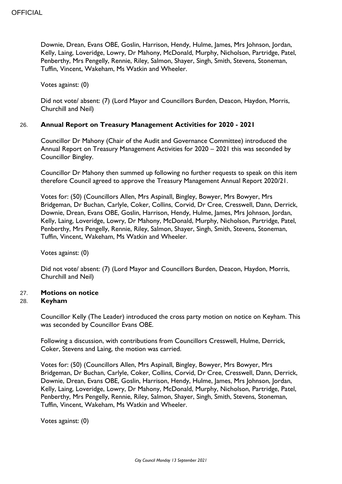Downie, Drean, Evans OBE, Goslin, Harrison, Hendy, Hulme, James, Mrs Johnson, Jordan, Kelly, Laing, Loveridge, Lowry, Dr Mahony, McDonald, Murphy, Nicholson, Partridge, Patel, Penberthy, Mrs Pengelly, Rennie, Riley, Salmon, Shayer, Singh, Smith, Stevens, Stoneman, Tuffin, Vincent, Wakeham, Ms Watkin and Wheeler.

Votes against: (0)

Did not vote/ absent: (7) (Lord Mayor and Councillors Burden, Deacon, Haydon, Morris, Churchill and Neil)

## 26. **Annual Report on Treasury Management Activities for 2020 - 2021**

Councillor Dr Mahony (Chair of the Audit and Governance Committee) introduced the Annual Report on Treasury Management Activities for 2020 – 2021 this was seconded by Councillor Bingley.

Councillor Dr Mahony then summed up following no further requests to speak on this item therefore Council agreed to approve the Treasury Management Annual Report 2020/21.

Votes for: (50) (Councillors Allen, Mrs Aspinall, Bingley, Bowyer, Mrs Bowyer, Mrs Bridgeman, Dr Buchan, Carlyle, Coker, Collins, Corvid, Dr Cree, Cresswell, Dann, Derrick, Downie, Drean, Evans OBE, Goslin, Harrison, Hendy, Hulme, James, Mrs Johnson, Jordan, Kelly, Laing, Loveridge, Lowry, Dr Mahony, McDonald, Murphy, Nicholson, Partridge, Patel, Penberthy, Mrs Pengelly, Rennie, Riley, Salmon, Shayer, Singh, Smith, Stevens, Stoneman, Tuffin, Vincent, Wakeham, Ms Watkin and Wheeler.

Votes against: (0)

Did not vote/ absent: (7) (Lord Mayor and Councillors Burden, Deacon, Haydon, Morris, Churchill and Neil)

# 27. **Motions on notice**

#### 28. **Keyham**

Councillor Kelly (The Leader) introduced the cross party motion on notice on Keyham. This was seconded by Councillor Evans OBE.

Following a discussion, with contributions from Councillors Cresswell, Hulme, Derrick, Coker, Stevens and Laing, the motion was carried.

Votes for: (50) (Councillors Allen, Mrs Aspinall, Bingley, Bowyer, Mrs Bowyer, Mrs Bridgeman, Dr Buchan, Carlyle, Coker, Collins, Corvid, Dr Cree, Cresswell, Dann, Derrick, Downie, Drean, Evans OBE, Goslin, Harrison, Hendy, Hulme, James, Mrs Johnson, Jordan, Kelly, Laing, Loveridge, Lowry, Dr Mahony, McDonald, Murphy, Nicholson, Partridge, Patel, Penberthy, Mrs Pengelly, Rennie, Riley, Salmon, Shayer, Singh, Smith, Stevens, Stoneman, Tuffin, Vincent, Wakeham, Ms Watkin and Wheeler.

Votes against: (0)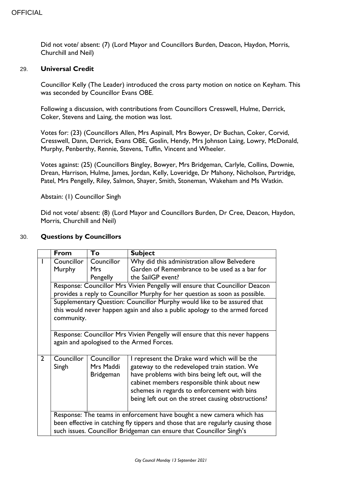Did not vote/ absent: (7) (Lord Mayor and Councillors Burden, Deacon, Haydon, Morris, Churchill and Neil)

#### 29. **Universal Credit**

Councillor Kelly (The Leader) introduced the cross party motion on notice on Keyham. This was seconded by Councillor Evans OBE.

Following a discussion, with contributions from Councillors Cresswell, Hulme, Derrick, Coker, Stevens and Laing, the motion was lost.

Votes for: (23) (Councillors Allen, Mrs Aspinall, Mrs Bowyer, Dr Buchan, Coker, Corvid, Cresswell, Dann, Derrick, Evans OBE, Goslin, Hendy, Mrs Johnson Laing, Lowry, McDonald, Murphy, Penberthy, Rennie, Stevens, Tuffin, Vincent and Wheeler.

Votes against: (25) (Councillors Bingley, Bowyer, Mrs Bridgeman, Carlyle, Collins, Downie, Drean, Harrison, Hulme, James, Jordan, Kelly, Loveridge, Dr Mahony, Nicholson, Partridge, Patel, Mrs Pengelly, Riley, Salmon, Shayer, Smith, Stoneman, Wakeham and Ms Watkin.

Abstain: (1) Councillor Singh

Did not vote/ absent: (8) (Lord Mayor and Councillors Burden, Dr Cree, Deacon, Haydon, Morris, Churchill and Neil)

#### 30. **Questions by Councillors**

|                | <b>From</b>                                                                       | To               | <b>Subject</b>                                                              |
|----------------|-----------------------------------------------------------------------------------|------------------|-----------------------------------------------------------------------------|
|                | Councillor                                                                        | Councillor       | Why did this administration allow Belvedere                                 |
|                | Murphy                                                                            | Mrs              | Garden of Remembrance to be used as a bar for                               |
|                |                                                                                   | Pengelly         | the SailGP event?                                                           |
|                |                                                                                   |                  | Response: Councillor Mrs Vivien Pengelly will ensure that Councillor Deacon |
|                |                                                                                   |                  | provides a reply to Councillor Murphy for her question as soon as possible. |
|                |                                                                                   |                  | Supplementary Question: Councillor Murphy would like to be assured that     |
|                |                                                                                   |                  | this would never happen again and also a public apology to the armed forced |
|                | community.                                                                        |                  |                                                                             |
|                |                                                                                   |                  |                                                                             |
|                | Response: Councillor Mrs Vivien Pengelly will ensure that this never happens      |                  |                                                                             |
|                | again and apologised to the Armed Forces.                                         |                  |                                                                             |
|                |                                                                                   |                  |                                                                             |
| $\overline{2}$ | Councillor                                                                        | Councillor       | I represent the Drake ward which will be the                                |
|                | Singh                                                                             | Mrs Maddi        | gateway to the redeveloped train station. We                                |
|                |                                                                                   | <b>Bridgeman</b> | have problems with bins being left out, will the                            |
|                |                                                                                   |                  | cabinet members responsible think about new                                 |
|                |                                                                                   |                  | schemes in regards to enforcement with bins                                 |
|                |                                                                                   |                  | being left out on the street causing obstructions?                          |
|                |                                                                                   |                  |                                                                             |
|                |                                                                                   |                  | Response: The teams in enforcement have bought a new camera which has       |
|                | been effective in catching fly tippers and those that are regularly causing those |                  |                                                                             |
|                | such issues. Councillor Bridgeman can ensure that Councillor Singh's              |                  |                                                                             |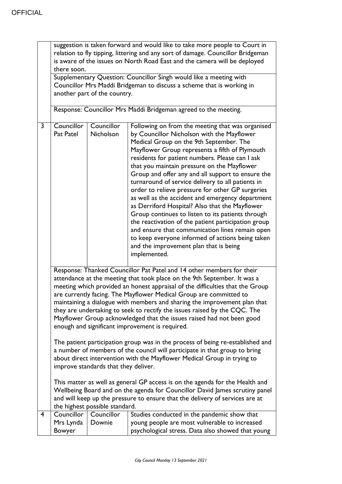|                | relation to fly tipping, littering and any sort of damage. Councillor Bridgeman<br>is aware of the issues on North Road East and the camera will be deployed                |                                |                                                                                                                                                                                                                                                                                                                                                                                                                                                                                                                                                                                                                                                                                                                                                                                                                                                |  |
|----------------|-----------------------------------------------------------------------------------------------------------------------------------------------------------------------------|--------------------------------|------------------------------------------------------------------------------------------------------------------------------------------------------------------------------------------------------------------------------------------------------------------------------------------------------------------------------------------------------------------------------------------------------------------------------------------------------------------------------------------------------------------------------------------------------------------------------------------------------------------------------------------------------------------------------------------------------------------------------------------------------------------------------------------------------------------------------------------------|--|
|                | there soon.                                                                                                                                                                 |                                |                                                                                                                                                                                                                                                                                                                                                                                                                                                                                                                                                                                                                                                                                                                                                                                                                                                |  |
|                | Supplementary Question: Councillor Singh would like a meeting with<br>Councillor Mrs Maddi Bridgeman to discuss a scheme that is working in<br>another part of the country. |                                |                                                                                                                                                                                                                                                                                                                                                                                                                                                                                                                                                                                                                                                                                                                                                                                                                                                |  |
|                |                                                                                                                                                                             |                                | Response: Councillor Mrs Maddi Bridgeman agreed to the meeting.                                                                                                                                                                                                                                                                                                                                                                                                                                                                                                                                                                                                                                                                                                                                                                                |  |
| 3              | Councillor<br>Pat Patel                                                                                                                                                     | Councillor<br>Nicholson        | Following on from the meeting that was organised<br>by Councillor Nicholson with the Mayflower<br>Medical Group on the 9th September. The<br>Mayflower Group represents a fifth of Plymouth<br>residents for patient numbers. Please can I ask<br>that you maintain pressure on the Mayflower<br>Group and offer any and all support to ensure the<br>turnaround of service delivery to all patients in<br>order to relieve pressure for other GP surgeries<br>as well as the accident and emergency department<br>as Derriford Hospital? Also that the Mayflower<br>Group continues to listen to its patients through<br>the reactivation of the patient participation group<br>and ensure that communication lines remain open<br>to keep everyone informed of actions being taken<br>and the improvement plan that is being<br>implemented. |  |
|                |                                                                                                                                                                             |                                | Response: Thanked Councillor Pat Patel and 14 other members for their<br>attendance at the meeting that took place on the 9th September. It was a<br>meeting which provided an honest appraisal of the difficulties that the Group<br>are currently facing. The Mayflower Medical Group are committed to<br>maintaining a dialogue with members and sharing the improvement plan that<br>they are undertaking to seek to rectify the issues raised by the CQC. The<br>Mayflower Group acknowledged that the issues raised had not been good<br>enough and significant improvement is required.<br>The patient participation group was in the process of being re-established and<br>a number of members of the council will participate in that group to bring                                                                                 |  |
|                | about direct intervention with the Mayflower Medical Group in trying to<br>improve standards that they deliver.                                                             |                                |                                                                                                                                                                                                                                                                                                                                                                                                                                                                                                                                                                                                                                                                                                                                                                                                                                                |  |
|                |                                                                                                                                                                             | the highest possible standard. | This matter as well as general GP access is on the agenda for the Health and<br>Wellbeing Board and on the agenda for Councillor David James scrutiny panel<br>and will keep up the pressure to ensure that the delivery of services are at                                                                                                                                                                                                                                                                                                                                                                                                                                                                                                                                                                                                    |  |
| $\overline{4}$ | Councillor                                                                                                                                                                  | Councillor                     | Studies conducted in the pandemic show that                                                                                                                                                                                                                                                                                                                                                                                                                                                                                                                                                                                                                                                                                                                                                                                                    |  |
|                | Mrs Lynda<br>Bowyer                                                                                                                                                         | Downie                         | young people are most vulnerable to increased<br>psychological stress. Data also showed that young                                                                                                                                                                                                                                                                                                                                                                                                                                                                                                                                                                                                                                                                                                                                             |  |

suggestion is taken forward and would like to take more people to Court in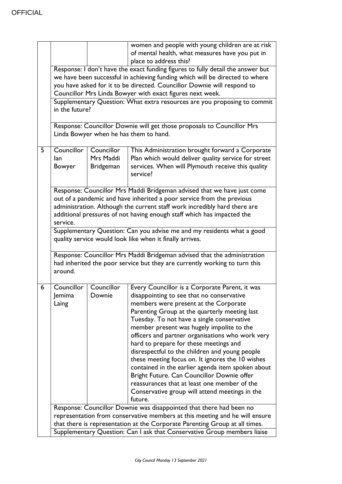|   |                                                                          |                  | women and people with young children are at risk                                                                 |
|---|--------------------------------------------------------------------------|------------------|------------------------------------------------------------------------------------------------------------------|
|   |                                                                          |                  | of mental health, what measures have you put in                                                                  |
|   |                                                                          |                  | place to address this?                                                                                           |
|   |                                                                          |                  | Response: I don't have the exact funding figures to fully detail the answer but                                  |
|   |                                                                          |                  | we have been successful in achieving funding which will be directed to where                                     |
|   | you have asked for it to be directed. Councillor Downie will respond to  |                  |                                                                                                                  |
|   |                                                                          |                  | Councillor Mrs Linda Bowyer with exact figures next week.                                                        |
|   |                                                                          |                  | Supplementary Question: What extra resources are you proposing to commit                                         |
|   | in the future?                                                           |                  |                                                                                                                  |
|   |                                                                          |                  |                                                                                                                  |
|   |                                                                          |                  | Response: Councillor Downie will get those proposals to Councillor Mrs<br>Linda Bowyer when he has them to hand. |
|   |                                                                          |                  |                                                                                                                  |
| 5 | Councillor                                                               | Councillor       | This Administration brought forward a Corporate                                                                  |
|   | lan                                                                      | Mrs Maddi        | Plan which would deliver quality service for street                                                              |
|   | Bowyer                                                                   | <b>Bridgeman</b> | services. When will Plymouth receive this quality                                                                |
|   |                                                                          |                  | service?                                                                                                         |
|   |                                                                          |                  |                                                                                                                  |
|   |                                                                          |                  | Response: Councillor Mrs Maddi Bridgeman advised that we have just come                                          |
|   |                                                                          |                  | out of a pandemic and have inherited a poor service from the previous                                            |
|   |                                                                          |                  | administration. Although the current staff work incredibly hard there are                                        |
|   |                                                                          |                  | additional pressures of not having enough staff which has impacted the                                           |
|   | service.                                                                 |                  |                                                                                                                  |
|   |                                                                          |                  | Supplementary Question: Can you advise me and my residents what a good                                           |
|   | quality service would look like when it finally arrives.                 |                  |                                                                                                                  |
|   | Response: Councillor Mrs Maddi Bridgeman advised that the administration |                  |                                                                                                                  |
|   |                                                                          |                  | had inherited the poor service but they are currently working to turn this                                       |
|   | around.                                                                  |                  |                                                                                                                  |
|   |                                                                          |                  |                                                                                                                  |
| 6 | Councillor                                                               | Councillor       | Every Councillor is a Corporate Parent, it was                                                                   |
|   | Jemima                                                                   | Downie           | disappointing to see that no conservative                                                                        |
|   | Laing                                                                    |                  | members were present at the Corporate                                                                            |
|   |                                                                          |                  | Parenting Group at the quarterly meeting last                                                                    |
|   |                                                                          |                  | Tuesday. To not have a single conservative                                                                       |
|   |                                                                          |                  | member present was hugely impolite to the                                                                        |
|   |                                                                          |                  | officers and partner organisations who work very                                                                 |
|   |                                                                          |                  | hard to prepare for these meetings and                                                                           |
|   |                                                                          |                  | disrespectful to the children and young people                                                                   |
|   |                                                                          |                  | these meeting focus on. It ignores the 10 wishes                                                                 |
|   |                                                                          |                  | contained in the earlier agenda item spoken about                                                                |
|   |                                                                          |                  | Bright Future. Can Councillor Downie offer                                                                       |
|   |                                                                          |                  | reassurances that at least one member of the                                                                     |
|   |                                                                          |                  | Conservative group will attend meetings in the                                                                   |
|   |                                                                          |                  | future.                                                                                                          |
|   |                                                                          |                  | Response: Councillor Downie was disappointed that there had been no                                              |
|   |                                                                          |                  | representation from conservative members at this meeting and he will ensure                                      |
|   |                                                                          |                  | that there is representation at the Corporate Parenting Group at all times.                                      |
|   | Supplementary Question: Can I ask that Conservative Group members liaise |                  |                                                                                                                  |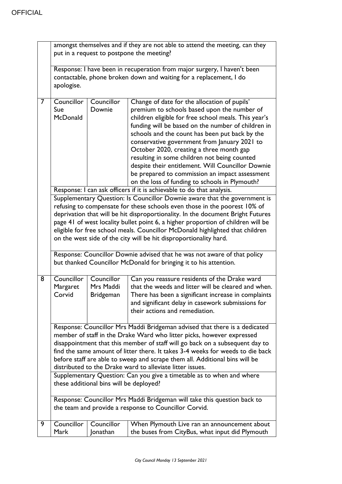|   | amongst themselves and if they are not able to attend the meeting, can they<br>put in a request to postpone the meeting?                                                                                                                                                                                                                                                                                                                                                            |                                             |                                                                                                                                                                                                                                                                                                                                                                                                                                                                                                                                                                  |
|---|-------------------------------------------------------------------------------------------------------------------------------------------------------------------------------------------------------------------------------------------------------------------------------------------------------------------------------------------------------------------------------------------------------------------------------------------------------------------------------------|---------------------------------------------|------------------------------------------------------------------------------------------------------------------------------------------------------------------------------------------------------------------------------------------------------------------------------------------------------------------------------------------------------------------------------------------------------------------------------------------------------------------------------------------------------------------------------------------------------------------|
|   | Response: I have been in recuperation from major surgery, I haven't been                                                                                                                                                                                                                                                                                                                                                                                                            |                                             |                                                                                                                                                                                                                                                                                                                                                                                                                                                                                                                                                                  |
|   | apologise.                                                                                                                                                                                                                                                                                                                                                                                                                                                                          |                                             | contactable, phone broken down and waiting for a replacement, I do                                                                                                                                                                                                                                                                                                                                                                                                                                                                                               |
| 7 | Councillor<br>Sue<br>McDonald                                                                                                                                                                                                                                                                                                                                                                                                                                                       | Councillor<br>Downie                        | Change of date for the allocation of pupils'<br>premium to schools based upon the number of<br>children eligible for free school meals. This year's<br>funding will be based on the number of children in<br>schools and the count has been put back by the<br>conservative government from January 2021 to<br>October 2020, creating a three month gap<br>resulting in some children not being counted<br>despite their entitlement. Will Councillor Downie<br>be prepared to commission an impact assessment<br>on the loss of funding to schools in Plymouth? |
|   |                                                                                                                                                                                                                                                                                                                                                                                                                                                                                     |                                             | Response: I can ask officers if it is achievable to do that analysis.                                                                                                                                                                                                                                                                                                                                                                                                                                                                                            |
|   | Supplementary Question: Is Councillor Downie aware that the government is<br>refusing to compensate for these schools even those in the poorest 10% of<br>deprivation that will be hit disproportionality. In the document Bright Futures<br>page 41 of west locality bullet point 6, a higher proportion of children will be<br>eligible for free school meals. Councillor McDonald highlighted that children<br>on the west side of the city will be hit disproportionality hard. |                                             |                                                                                                                                                                                                                                                                                                                                                                                                                                                                                                                                                                  |
|   |                                                                                                                                                                                                                                                                                                                                                                                                                                                                                     |                                             | Response: Councillor Downie advised that he was not aware of that policy<br>but thanked Councillor McDonald for bringing it to his attention.                                                                                                                                                                                                                                                                                                                                                                                                                    |
| 8 | Councillor<br>Margaret<br>Corvid                                                                                                                                                                                                                                                                                                                                                                                                                                                    | Councillor<br>Mrs Maddi<br><b>Bridgeman</b> | Can you reassure residents of the Drake ward<br>that the weeds and litter will be cleared and when.<br>There has been a significant increase in complaints<br>and significant delay in casework submissions for<br>their actions and remediation.                                                                                                                                                                                                                                                                                                                |
|   |                                                                                                                                                                                                                                                                                                                                                                                                                                                                                     |                                             | Response: Councillor Mrs Maddi Bridgeman advised that there is a dedicated<br>member of staff in the Drake Ward who litter picks, however expressed<br>disappointment that this member of staff will go back on a subsequent day to<br>find the same amount of litter there. It takes 3-4 weeks for weeds to die back<br>before staff are able to sweep and scrape them all. Additional bins will be<br>distributed to the Drake ward to alleviate litter issues.                                                                                                |
|   | Supplementary Question: Can you give a timetable as to when and where<br>these additional bins will be deployed?                                                                                                                                                                                                                                                                                                                                                                    |                                             |                                                                                                                                                                                                                                                                                                                                                                                                                                                                                                                                                                  |
|   | Response: Councillor Mrs Maddi Bridgeman will take this question back to<br>the team and provide a response to Councillor Corvid.                                                                                                                                                                                                                                                                                                                                                   |                                             |                                                                                                                                                                                                                                                                                                                                                                                                                                                                                                                                                                  |
| 9 |                                                                                                                                                                                                                                                                                                                                                                                                                                                                                     |                                             |                                                                                                                                                                                                                                                                                                                                                                                                                                                                                                                                                                  |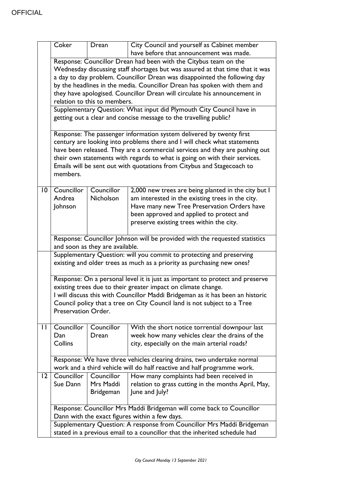|                 | Coker                                                                          | Drean                        | City Council and yourself as Cabinet member<br>have before that announcement was made. |  |
|-----------------|--------------------------------------------------------------------------------|------------------------------|----------------------------------------------------------------------------------------|--|
|                 |                                                                                |                              |                                                                                        |  |
|                 | Response: Councillor Drean had been with the Citybus team on the               |                              |                                                                                        |  |
|                 | Wednesday discussing staff shortages but was assured at that time that it was  |                              |                                                                                        |  |
|                 |                                                                                |                              | a day to day problem. Councillor Drean was disappointed the following day              |  |
|                 |                                                                                |                              | by the headlines in the media. Councillor Drean has spoken with them and               |  |
|                 |                                                                                |                              | they have apologised. Councillor Drean will circulate his announcement in              |  |
|                 |                                                                                | relation to this to members. |                                                                                        |  |
|                 |                                                                                |                              | Supplementary Question: What input did Plymouth City Council have in                   |  |
|                 |                                                                                |                              | getting out a clear and concise message to the travelling public?                      |  |
|                 |                                                                                |                              | Response: The passenger information system delivered by twenty first                   |  |
|                 |                                                                                |                              | century are looking into problems there and I will check what statements               |  |
|                 |                                                                                |                              | have been released. They are a commercial services and they are pushing out            |  |
|                 |                                                                                |                              | their own statements with regards to what is going on with their services.             |  |
|                 |                                                                                |                              | Emails will be sent out with quotations from Citybus and Stagecoach to                 |  |
|                 | members.                                                                       |                              |                                                                                        |  |
|                 |                                                                                |                              |                                                                                        |  |
| $\overline{10}$ | Councillor                                                                     | Councillor                   | 2,000 new trees are being planted in the city but I                                    |  |
|                 | Andrea                                                                         | <b>Nicholson</b>             | am interested in the existing trees in the city.                                       |  |
|                 | Johnson                                                                        |                              | Have many new Tree Preservation Orders have                                            |  |
|                 |                                                                                |                              | been approved and applied to protect and                                               |  |
|                 |                                                                                |                              | preserve existing trees within the city.                                               |  |
|                 |                                                                                |                              |                                                                                        |  |
|                 |                                                                                |                              | Response: Councillor Johnson will be provided with the requested statistics            |  |
|                 | and soon as they are available.                                                |                              |                                                                                        |  |
|                 |                                                                                |                              | Supplementary Question: will you commit to protecting and preserving                   |  |
|                 |                                                                                |                              | existing and older trees as much as a priority as purchasing new ones?                 |  |
|                 |                                                                                |                              |                                                                                        |  |
|                 | Response: On a personal level it is just as important to protect and preserve  |                              |                                                                                        |  |
|                 | existing trees due to their greater impact on climate change.                  |                              |                                                                                        |  |
|                 | I will discuss this with Councillor Maddi Bridgeman as it has been an historic |                              |                                                                                        |  |
|                 | Council policy that a tree on City Council land is not subject to a Tree       |                              |                                                                                        |  |
|                 | Preservation Order.                                                            |                              |                                                                                        |  |
|                 |                                                                                |                              |                                                                                        |  |
| П               | Councillor                                                                     | Councillor                   | With the short notice torrential downpour last                                         |  |
|                 | Dan                                                                            | Drean                        | week how many vehicles clear the drains of the                                         |  |
|                 | Collins                                                                        |                              | city, especially on the main arterial roads?                                           |  |
|                 |                                                                                |                              |                                                                                        |  |
|                 |                                                                                |                              | Response: We have three vehicles clearing drains, two undertake normal                 |  |
|                 |                                                                                |                              | work and a third vehicle will do half reactive and half programme work.                |  |
| $ 2\rangle$     | Councillor                                                                     | Councillor                   | How many complaints had been received in                                               |  |
|                 | Sue Dann                                                                       | Mrs Maddi                    | relation to grass cutting in the months April, May,                                    |  |
|                 |                                                                                | <b>Bridgeman</b>             | June and July?                                                                         |  |
|                 |                                                                                |                              |                                                                                        |  |
|                 |                                                                                |                              | Response: Councillor Mrs Maddi Bridgeman will come back to Councillor                  |  |
|                 |                                                                                |                              | Dann with the exact figures within a few days.                                         |  |
|                 | Supplementary Question: A response from Councillor Mrs Maddi Bridgeman         |                              |                                                                                        |  |
|                 | stated in a previous email to a councillor that the inherited schedule had     |                              |                                                                                        |  |
|                 |                                                                                |                              |                                                                                        |  |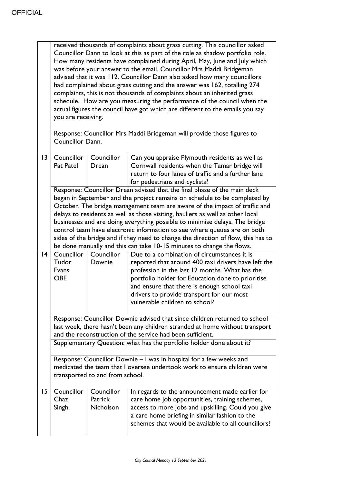|                 | received thousands of complaints about grass cutting. This councillor asked<br>Councillor Dann to look at this as part of the role as shadow portfolio role.<br>How many residents have complained during April, May, June and July which<br>was before your answer to the email. Councillor Mrs Maddi Bridgeman<br>advised that it was 112. Councillor Dann also asked how many councillors<br>had complained about grass cutting and the answer was 162, totalling 274<br>complaints, this is not thousands of complaints about an inherited grass<br>schedule. How are you measuring the performance of the council when the<br>actual figures the council have got which are different to the emails you say<br>you are receiving.<br>Response: Councillor Mrs Maddi Bridgeman will provide those figures to<br>Councillor Dann. |                                    |                                                                                                                                                                                                                                                                                                                                         |  |
|-----------------|--------------------------------------------------------------------------------------------------------------------------------------------------------------------------------------------------------------------------------------------------------------------------------------------------------------------------------------------------------------------------------------------------------------------------------------------------------------------------------------------------------------------------------------------------------------------------------------------------------------------------------------------------------------------------------------------------------------------------------------------------------------------------------------------------------------------------------------|------------------------------------|-----------------------------------------------------------------------------------------------------------------------------------------------------------------------------------------------------------------------------------------------------------------------------------------------------------------------------------------|--|
| $\overline{13}$ | Councillor<br>Pat Patel                                                                                                                                                                                                                                                                                                                                                                                                                                                                                                                                                                                                                                                                                                                                                                                                              | Councillor<br>Drean                | Can you appraise Plymouth residents as well as<br>Cornwall residents when the Tamar bridge will<br>return to four lanes of traffic and a further lane<br>for pedestrians and cyclists?                                                                                                                                                  |  |
|                 | Response: Councillor Drean advised that the final phase of the main deck<br>began in September and the project remains on schedule to be completed by<br>October. The bridge management team are aware of the impact of traffic and<br>delays to residents as well as those visiting, hauliers as well as other local<br>businesses and are doing everything possible to minimise delays. The bridge<br>control team have electronic information to see where queues are on both<br>sides of the bridge and if they need to change the direction of flow, this has to<br>be done manually and this can take 10-15 minutes to change the flows.                                                                                                                                                                                       |                                    |                                                                                                                                                                                                                                                                                                                                         |  |
| 4               | Councillor<br>Tudor<br>Evans<br><b>OBE</b>                                                                                                                                                                                                                                                                                                                                                                                                                                                                                                                                                                                                                                                                                                                                                                                           | Councillor<br>Downie               | Due to a combination of circumstances it is<br>reported that around 400 taxi drivers have left the<br>profession in the last 12 months. What has the<br>portfolio holder for Education done to prioritise<br>and ensure that there is enough school taxi<br>drivers to provide transport for our most<br>vulnerable children to school? |  |
|                 |                                                                                                                                                                                                                                                                                                                                                                                                                                                                                                                                                                                                                                                                                                                                                                                                                                      |                                    | Response: Councillor Downie advised that since children returned to school<br>last week, there hasn't been any children stranded at home without transport                                                                                                                                                                              |  |
|                 |                                                                                                                                                                                                                                                                                                                                                                                                                                                                                                                                                                                                                                                                                                                                                                                                                                      |                                    | and the reconstruction of the service had been sufficient.<br>Supplementary Question: what has the portfolio holder done about it?                                                                                                                                                                                                      |  |
|                 | Response: Councillor Downie - I was in hospital for a few weeks and<br>medicated the team that I oversee undertook work to ensure children were<br>transported to and from school.                                                                                                                                                                                                                                                                                                                                                                                                                                                                                                                                                                                                                                                   |                                    |                                                                                                                                                                                                                                                                                                                                         |  |
| 15              | Councillor<br>Chaz<br>Singh                                                                                                                                                                                                                                                                                                                                                                                                                                                                                                                                                                                                                                                                                                                                                                                                          | Councillor<br>Patrick<br>Nicholson | In regards to the announcement made earlier for<br>care home job opportunities, training schemes,<br>access to more jobs and upskilling. Could you give<br>a care home briefing in similar fashion to the<br>schemes that would be available to all councillors?                                                                        |  |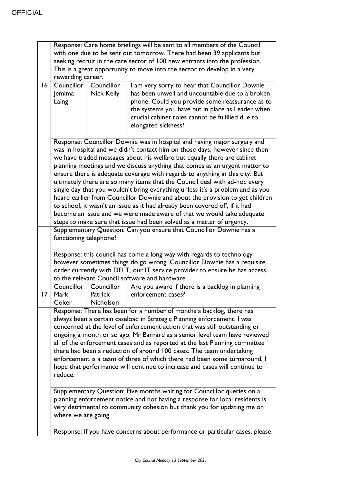|    | Response: Care home briefings will be sent to all members of the Council       |                   |                                                                            |  |  |
|----|--------------------------------------------------------------------------------|-------------------|----------------------------------------------------------------------------|--|--|
|    | with one due to be sent out tomorrow. There had been 39 applicants but         |                   |                                                                            |  |  |
|    | seeking recruit in the care sector of 100 new entrants into the profession.    |                   |                                                                            |  |  |
|    | This is a great opportunity to move into the sector to develop in a very       |                   |                                                                            |  |  |
|    | rewarding career.                                                              |                   |                                                                            |  |  |
| 16 | Councillor                                                                     | Councillor        | I am very sorry to hear that Councillor Downie                             |  |  |
|    | Jemima                                                                         | <b>Nick Kelly</b> | has been unwell and uncountable due to a broken                            |  |  |
|    | Laing                                                                          |                   | phone. Could you provide some reassurance as to                            |  |  |
|    |                                                                                |                   | the systems you have put in place as Leader when                           |  |  |
|    |                                                                                |                   | crucial cabinet roles cannot be fulfilled due to                           |  |  |
|    |                                                                                |                   | elongated sickness?                                                        |  |  |
|    |                                                                                |                   |                                                                            |  |  |
|    | Response: Councillor Downie was in hospital and having major surgery and       |                   |                                                                            |  |  |
|    | was in hospital and we didn't contact him on those days, however since then    |                   |                                                                            |  |  |
|    | we have traded messages about his welfare but equally there are cabinet        |                   |                                                                            |  |  |
|    | planning meetings and we discuss anything that comes as an urgent matter to    |                   |                                                                            |  |  |
|    | ensure there is adequate coverage with regards to anything in this city. But   |                   |                                                                            |  |  |
|    | ultimately there are so many items that the Council deal with ad-hoc every     |                   |                                                                            |  |  |
|    | single day that you wouldn't bring everything unless it's a problem and as you |                   |                                                                            |  |  |
|    | heard earlier from Councillor Downie and about the provision to get children   |                   |                                                                            |  |  |
|    | to school, it wasn't an issue as it had already been covered off, if it had    |                   |                                                                            |  |  |
|    |                                                                                |                   | become an issue and we were made aware of that we would take adequate      |  |  |
|    |                                                                                |                   | steps to make sure that issue had been solved as a matter of urgency.      |  |  |
|    |                                                                                |                   | Supplementary Question: Can you ensure that Councillor Downie has a        |  |  |
|    |                                                                                |                   |                                                                            |  |  |
|    | functioning telephone?                                                         |                   |                                                                            |  |  |
|    | Response: this council has come a long way with regards to technology          |                   |                                                                            |  |  |
|    | however sometimes things do go wrong. Councillor Downie has a requisite        |                   |                                                                            |  |  |
|    |                                                                                |                   | order currently with DELT, our IT service provider to ensure he has access |  |  |
|    |                                                                                |                   | to the relevant Council software and hardware.                             |  |  |
|    | Councillor                                                                     | Councillor        | Are you aware if there is a backlog in planning                            |  |  |
| 17 | Mark                                                                           | Patrick           | enforcement cases?                                                         |  |  |
|    | Coker                                                                          | Nicholson         |                                                                            |  |  |
|    | Response: There has been for a number of months a backlog, there has           |                   |                                                                            |  |  |
|    | always been a certain caseload in Strategic Planning enforcement. I was        |                   |                                                                            |  |  |
|    | concerned at the level of enforcement action that was still outstanding or     |                   |                                                                            |  |  |
|    | ongoing a month or so ago. Mr Barnard as a senior level team have reviewed     |                   |                                                                            |  |  |
|    | all of the enforcement cases and as reported at the last Planning committee    |                   |                                                                            |  |  |
|    | there had been a reduction of around 100 cases. The team undertaking           |                   |                                                                            |  |  |
|    | enforcement is a team of three of which there had been some turnaround, I      |                   |                                                                            |  |  |
|    | hope that performance will continue to increase and cases will continue to     |                   |                                                                            |  |  |
|    | reduce.                                                                        |                   |                                                                            |  |  |
|    |                                                                                |                   |                                                                            |  |  |
|    | Supplementary Question: Five months waiting for Councillor queries on a        |                   |                                                                            |  |  |
|    | planning enforcement notice and not having a response for local residents is   |                   |                                                                            |  |  |
|    | very detrimental to community cohesion but thank you for updating me on        |                   |                                                                            |  |  |
|    | where we are going.                                                            |                   |                                                                            |  |  |
|    |                                                                                |                   |                                                                            |  |  |
|    | Response: If you have concerns about performance or particular cases, please   |                   |                                                                            |  |  |